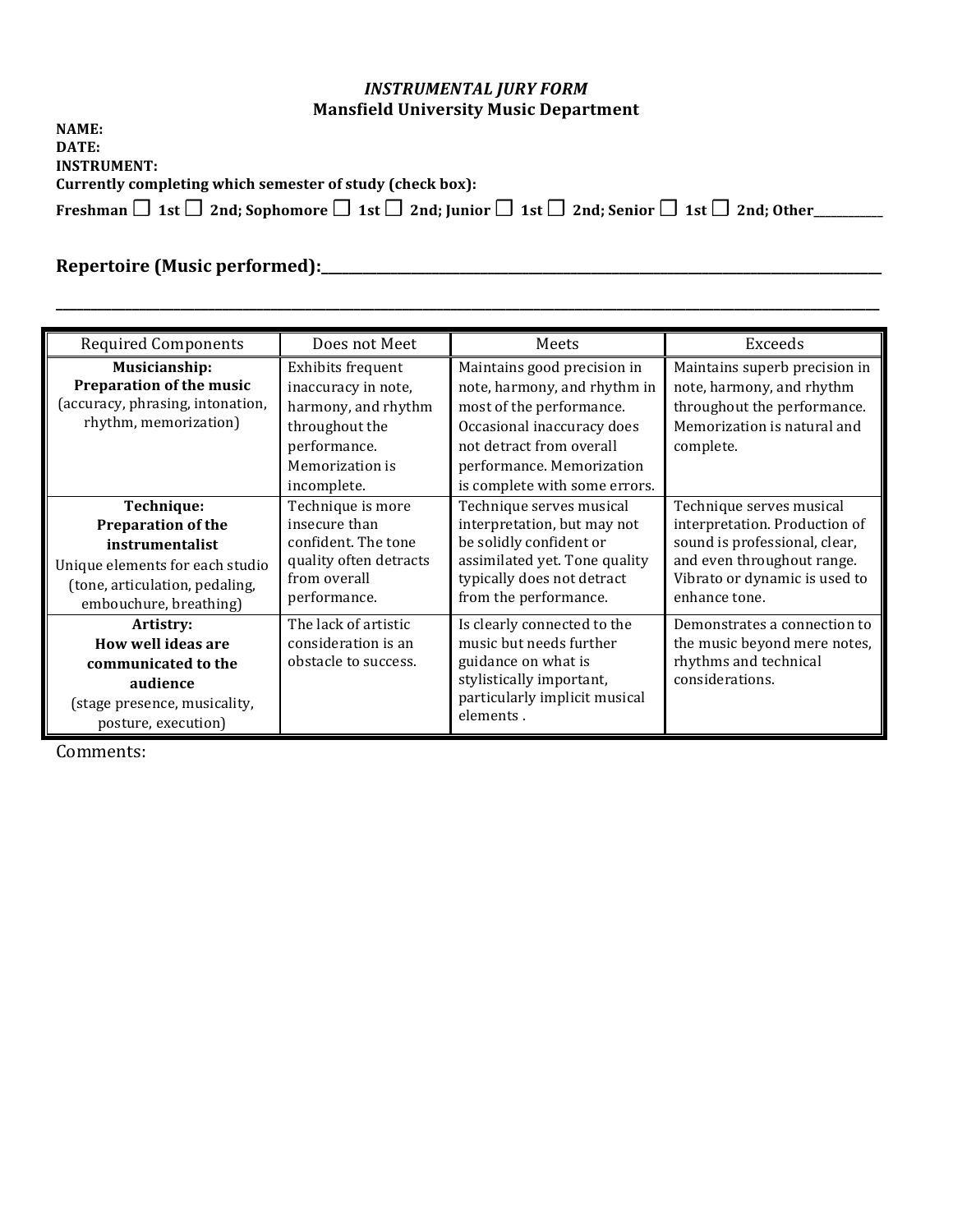## **INSTRUMENTAL JURY FORM Mansfield University Music Department**

| <b>NAME:</b>                                                                                                                       |
|------------------------------------------------------------------------------------------------------------------------------------|
| DATE:                                                                                                                              |
| <b>INSTRUMENT:</b>                                                                                                                 |
| Currently completing which semester of study (check box):                                                                          |
| Freshman $\Box$ 1st $\Box$ 2nd; Sophomore $\Box$ 1st $\Box$ 2nd; Junior $\Box$ 1st $\Box$ 2nd; Senior $\Box$ 1st $\Box$ 2nd; Other |
|                                                                                                                                    |

**\_\_\_\_\_\_\_\_\_\_\_\_\_\_\_\_\_\_\_\_\_\_\_\_\_\_\_\_\_\_\_\_\_\_\_\_\_\_\_\_\_\_\_\_\_\_\_\_\_\_\_\_\_\_\_\_\_\_\_\_\_\_\_\_\_\_\_\_\_\_\_\_\_\_\_\_\_\_\_\_\_\_\_\_\_\_\_\_\_\_\_\_\_\_\_\_\_\_\_\_\_\_\_\_\_\_\_\_\_\_\_\_\_\_\_\_\_\_\_**

**Repertoire (Music performed):\_\_\_\_\_\_\_\_\_\_\_\_\_\_\_\_\_\_\_\_\_\_\_\_\_\_\_\_\_\_\_\_\_\_\_\_\_\_\_\_\_\_\_\_\_\_\_\_\_\_\_\_\_\_\_\_\_\_\_\_\_\_\_\_\_\_\_\_\_\_\_\_\_\_\_\_\_\_\_\_\_**

| <b>Required Components</b>                                                                                                                                | Does not Meet                                                                                                                       | Meets                                                                                                                                                                                                           | Exceeds                                                                                                                                                                    |
|-----------------------------------------------------------------------------------------------------------------------------------------------------------|-------------------------------------------------------------------------------------------------------------------------------------|-----------------------------------------------------------------------------------------------------------------------------------------------------------------------------------------------------------------|----------------------------------------------------------------------------------------------------------------------------------------------------------------------------|
| Musicianship:<br>Preparation of the music<br>(accuracy, phrasing, intonation,<br>rhythm, memorization)                                                    | Exhibits frequent<br>inaccuracy in note,<br>harmony, and rhythm<br>throughout the<br>performance.<br>Memorization is<br>incomplete. | Maintains good precision in<br>note, harmony, and rhythm in<br>most of the performance.<br>Occasional inaccuracy does<br>not detract from overall<br>performance. Memorization<br>is complete with some errors. | Maintains superb precision in<br>note, harmony, and rhythm<br>throughout the performance.<br>Memorization is natural and<br>complete.                                      |
| Technique:<br><b>Preparation of the</b><br>instrumentalist<br>Unique elements for each studio<br>(tone, articulation, pedaling,<br>embouchure, breathing) | Technique is more<br>insecure than<br>confident. The tone<br>quality often detracts<br>from overall<br>performance.                 | Technique serves musical<br>interpretation, but may not<br>be solidly confident or<br>assimilated yet. Tone quality<br>typically does not detract<br>from the performance.                                      | Technique serves musical<br>interpretation. Production of<br>sound is professional, clear,<br>and even throughout range.<br>Vibrato or dynamic is used to<br>enhance tone. |
| Artistry:<br>How well ideas are<br>communicated to the<br>audience<br>(stage presence, musicality,<br>posture, execution)                                 | The lack of artistic<br>consideration is an<br>obstacle to success.                                                                 | Is clearly connected to the<br>music but needs further<br>guidance on what is<br>stylistically important,<br>particularly implicit musical<br>elements.                                                         | Demonstrates a connection to<br>the music beyond mere notes,<br>rhythms and technical<br>considerations.                                                                   |

Comments: